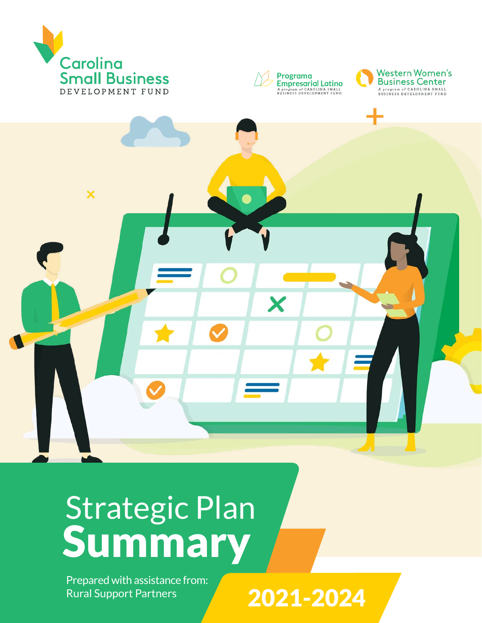







## Strategic Plan Summary

Prepared with assistance from: Rural Support Partners

2021-2024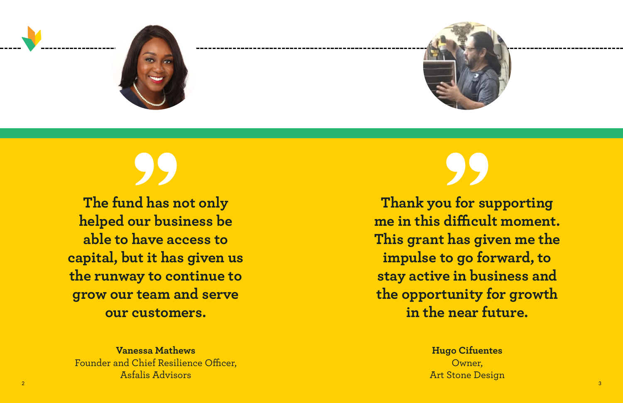



**The fund has not only helped our business be able to have access to capital, but it has given us the runway to continue to grow our team and serve our customers.**

**Thank you for supporting me in this difficult moment. This grant has given me the impulse to go forward, to stay active in business and the opportunity for growth in the near future.**

**Vanessa Mathews** Founder and Chief Resilience Officer, Asfalis Advisors

**Hugo Cifuentes** Owner, Art Stone Design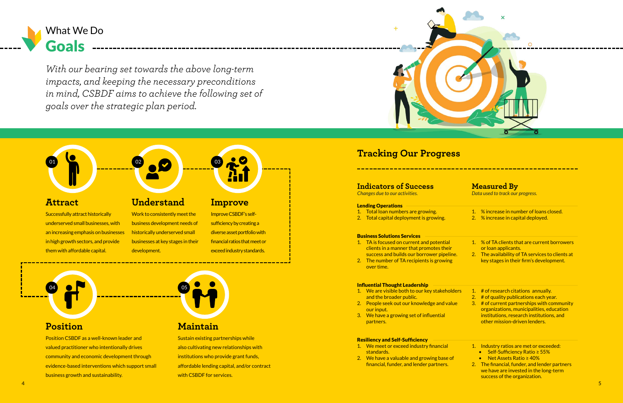### Lending Operations

- 1. Total loan numbers are growing.
- 2. Total capital deployment is growing.

### Business Solutions Services

- 1. TA is focused on current and potential clients in a manner that promotes their success and builds our borrower pipeline.
- 2. The number of TA recipients is growing over time.

### Influential Thought Leadership

- 1. We are visible both to our key stakeholders and the broader public.
- 2. People seek out our knowledge and value our input.
- 3. We have a growing set of influential partners.

### Resiliency and Self-Sufficiency

- 1. We meet or exceed industry financial standards.
- 2. We have a valuable and growing base of financial, funder, and lender partners.



- 2. # of quality publications each year.
- 3. # of current partnerships with community organizations, municipalities, education institutions, research institutions, and other mission-driven lenders.
- 1. Industry ratios are met or exceeded:
	- Self-Sufficiency Ratio ≥ 55%
	- Net Assets Ratio ≥ 40%
- 2. The financial, funder, and lender partners we have are invested in the long-term success of the organization.
- 1. % increase in number of loans closed.
- 2. % increase in capital deployed.
- 1. % of TA clients that are current borrowers or loan applicants.
- 2. The availability of TA services to clients at key stages in their firm's development.

### 1. # of research citations annually.

*Changes due to our activities. Data used to track our progress.*



Goals

What We Do

### **Understand**

Work to consistently meet the business development needs of historically underserved small businesses at key stages in their development.

# 02

### **Improve**

Improve CSBDF's selfsufficiency by creating a diverse asset portfolio with financial ratios that meet or exceed industry standards.





Position CSBDF as a well-known leader and valued practitioner who intentionally drives community and economic development through evidence-based interventions which support small business growth and sustainability.



Sustain existing partnerships while also cultivating new relationships with institutions who provide grant funds, affordable lending capital, and/or contract with CSBDF for services.

### **Attract**

### **Tracking Our Progress**

### **Indicators of Success Measured By**

Successfully attract historically underserved small businesses, with an increasing emphasis on businesses in high growth sectors, and provide them with affordable capital.

01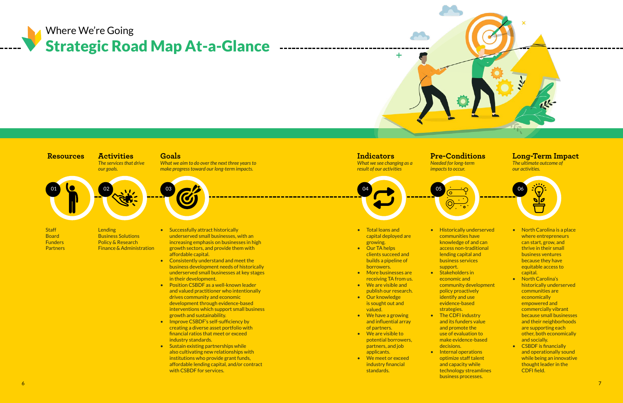### Strategic Road Map At-a-Glance Where We're Going



**Lending** Business Solutions Policy & Research Finance & Administration



### *The services that drive*

*our goals.*



**Staff Board** Funders **Partners** 

- Total loans and capital deployed are growing.
- Our TA helps clients succeed and builds a pipeline of borrowers.
- More businesses are receiving TA from us.
- We are visible and publish our research. • Our knowledge
- is sought out and valued.
- We have a growing and influential array of partners.
- We are visible to potential borrowers, partners, and job applicants.
- We meet or exceed industry financial standards.

*What we aim to do over the next three years to make progress toward our long-term impacts.*

*What we see changing as a result of our activities*



*Needed for long-term impacts to occur.*



*The ultimate outcome of our activities.*



- Successfully attract historically underserved small businesses, with an increasing emphasis on businesses in high growth sectors, and provide them with affordable capital.
- Consistently understand and meet the business development needs of historically underserved small businesses at key stages in their development.
- Position CSBDF as a well-known leader and valued practitioner who intentionally drives community and economic development through evidence-based interventions which support small business growth and sustainability.
- Improve CSBDF's self-sufficiency by creating a diverse asset portfolio with financial ratios that meet or exceed industry standards.
- Sustain existing partnerships while also cultivating new relationships with institutions who provide grant funds, affordable lending capital, and/or contract with CSBDF for services.

- North Carolina is a place where entrepreneurs can start, grow, and thrive in their small business ventures because they have equitable access to capital.
- North Carolina's historically underserved communities are economically empowered and commercially vibrant because small businesses and their neighborhoods are supporting each other, both economically and socially.
- CSBDF is financially and operationally sound while being an innovative thought leader in the CDFI field.

• Historically underserved communities have knowledge of and can access non-traditional lending capital and business services support. • Stakeholders in economic and

community development policy proactively • The CDFI industry and its funders value and promote the use of evaluation to make evidence-based • Internal operations

- identify and use evidence-based strategies.
- decisions. optimize staff talent business processes.

and capacity while

technology streamlines

### **Resources Activities Goals Indicators Pre-Conditions Long-Term Impact**

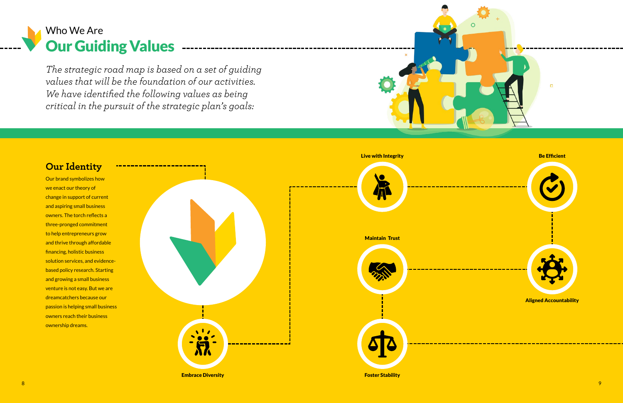### Our Guiding Values -------------Who We Are

*The strategic road map is based on a set of guiding values that will be the foundation of our activities. We have identified the following values as being critical in the pursuit of the strategic plan's goals:* 

### **Our Identity**

Our brand symbolizes how we enact our theory of change in support of current and aspiring small business owners. The torch reflects a three-pronged commitment to help entrepreneurs grow and thrive through affordable financing, holistic business solution services, and evidencebased policy research. Starting and growing a small business venture is not easy. But we are dreamcatchers because our passion is helping small business owners reach their business ownership dreams.